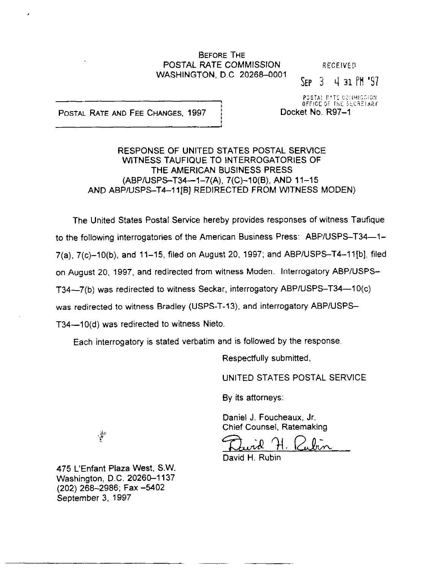### **BEFORE THE** POSTAL RATE COMMISSION RECEIVED WASHINGTON, D.C. 20268-0001

 $SEP$   $3$  4 31  $PM$   $'97$ 

POSTAL RATE AND FEE CHANGES, 1997 | Docket No. R97-1

POSTAL PITE COLIMICSION. OFFICE OF THE SECRETARY.  $\blacksquare$ 

RESPONSE OF UNITED STATES POSTAL SERVICE WITNESS TAUFIQUE TO INTERROGATORIES OF THE AMERICAN BUSINESS PRESS (ABPIUSPS-T34-1-7(A), 7(C)-10(B), AND II-15 AND ABP/USPS-T4-11IBI REDIRECTED FROM WITNESS MODEN)

I

The United States Postal Service hereby provides responses of witness Taufique to the following interrogatories of the American Business Press: ABP/USPS-T34-1-7(a), 7(c)-10(b), and 11-15, filed on August 20, 1997; and ABP/USPS-T4-11[b], filed on August 20, 1997, and redirected from witness Moden. Interrogatory ABP/USPS-T34-7(b) was redirected to witness Seckar, interrogatory ABP/USPS-T34-10(c) was redirected to witness Bradley (USPS-T-13), and interrogatory ABP/USPS-T34--10(d) was redirected to witness Nieto.

Each interrogatory is stated verbatim and is followed by the response.

Respectfully submitted,

UNITED STATES POSTAL SERVICE

By its attorneys:

Daniel J. Foucheaux, Jr. Chief Counsel, Ratemaking

 $_{\text{flux}}$ 

David H. Rubin

475 L'Enfant Plaza West, SW. Washington, D.C. 20260-1137 (202) 266-2966; Fax -5402 September 3, 1997

~----. --~ -

.<br>?<br>वर्ष×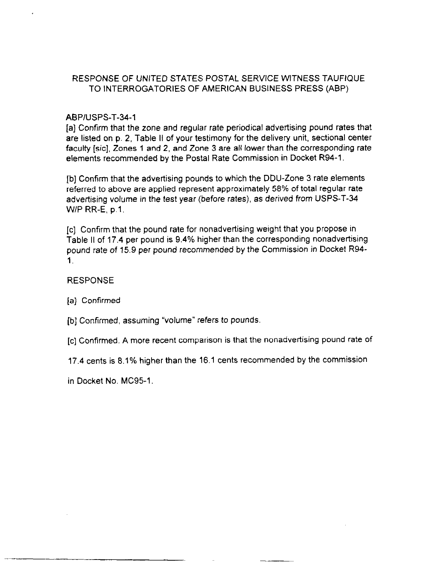## ABPIUSPS-T-34-I

[a] Confirm that the zone and regular rate periodical advertising pound rates that are listed on p. 2, Table II of your testimony for the delivery unit, sectional center faculty [sic], Zones 1 and 2, and Zone 3 are all lower than the corresponding rate elements recommended by the Postal Rate Commission in Docket R94-1.

[b] Confirm that the advertising pounds to which the DDU-Zone 3 rate elements referred to above are applied represent approximately 58% of total regular rate advertising volume in the test year (before rates), as derived from USPS-T-34 W/P RR-E, p.1.

[c] Confirm that the pound rate for nonadvertising weight that you propose in Table II of 17.4 per pound is 9.4% higher than the corresponding nonadvertising pound rate of 15.9 per pound recommended by the Commission in Docket R94- 1.

## RESPONSE

[a] Confirmed

- [b] Confirmed, assuming "volume" refers to pounds.
- [c] Confirmed. A more recent comparison is that the nonadvertising pound rate of
- 17.4 cents is 8.1% higher than the 16.1 cents recommended by the commission

in Docket No. MC95-1.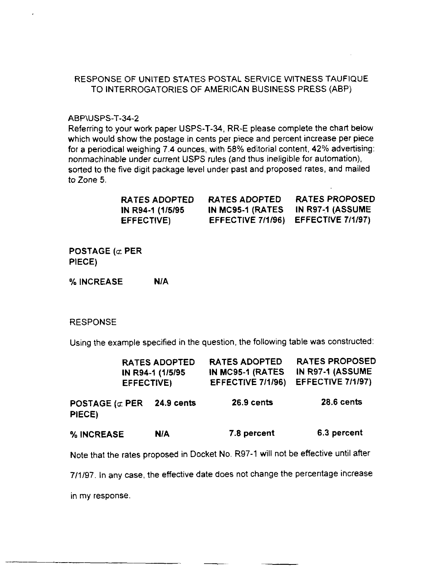#### ABP\USPS-T-34-2

Referring to your work paper USPS-T-34, RR-E please complete the chart below which would show the postage in cents per piece and percent increase per piece for a periodical weighing 7.4 ounces, with 56% editorial content, 42% advertising: nonmachinable under current USPS rules (and thus ineligible for automation). sorted to the five digit package level under past and proposed rates, and mailed to Zone 5.

| RATES ADOPTED     | <b>RATES ADOPTED</b> | <b>RATES PROPOSED</b>               |
|-------------------|----------------------|-------------------------------------|
| IN R94-1 (1/5/95) |                      | IN MC95-1 (RATES IN R97-1 (ASSUME   |
| EFFECTIVE)        |                      | EFFECTIVE 7/1/96) EFFECTIVE 7/1/97) |

POSTAGE ( $\sigma$  PER PIECE)

% INCREASE N/A

#### RESPONSE

Using the example specified in the question, the following table was constructed:

|                                  | EFFECTIVE) | <b>RATES ADOPTED</b><br>IN R94-1 (1/5/95) | <b>RATES ADOPTED</b><br>IN MC95-1 (RATES<br>EFFECTIVE 7/1/96) | <b>RATES PROPOSED</b><br>IN R97-1 (ASSUME<br>EFFECTIVE 7/1/97) |
|----------------------------------|------------|-------------------------------------------|---------------------------------------------------------------|----------------------------------------------------------------|
| POSTAGE ( $\sigma$ PER<br>PIECE) |            | 24.9 cents                                | 26.9 cents                                                    | <b>28.6 cents</b>                                              |
| % INCREASE                       |            | <b>N/A</b>                                | 7.8 percent                                                   | 6.3 percent                                                    |

Note that the rates proposed in Docket No. R97-1 will not be effective until after

7/l/97. In any case, the effective date does not change the percentage increase

in my response

---- -\_\_\_ -~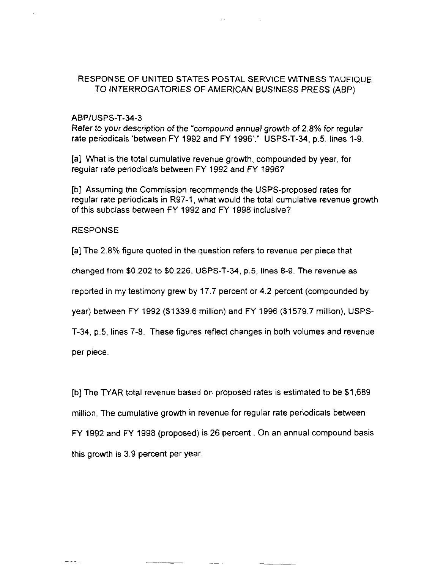#### ABPIUSPS-T-34-3

Refer to your description of the "compound annual growth of 2.8% for regular rate periodicals 'between FY 1992 and FY 1996'." USPS-T-34, p.5, lines 1-9.

[a] What is the total cumulative revenue growth, compounded by year, for regular rate periodicals between FY 1992 and FY 1996?

[b] Assuming the Commission recommends the USPS-proposed rates for regular rate periodicals in R97-1, what would the total cumulative revenue growth of this subclass between FY 1992 and FY 1996 inclusive?

#### RESPONSE

[a] The 2.8% figure quoted in the question refers to revenue per piece that

changed from \$0.202 to \$0.226, USPS-T-34, p.5, lines 8-9. The revenue as

reported in my testimony grew by 17.7 percent or 4.2 percent (compounded by

year) between FY 1992 (\$1339.6 million) and FY 1996 (\$1579.7 million), USPS-

T-34, p.5, lines 7-8. These figures reflect changes in both volumes and revenue

per piece.

[b] The TYAR total revenue based on proposed rates is estimated to be \$1,689 million. The cumulative growth in revenue for regular rate periodicals between FY 1992 and FY 1998 (proposed) is 26 percent . On an annual compound basis this growth is 3.9 percent per year.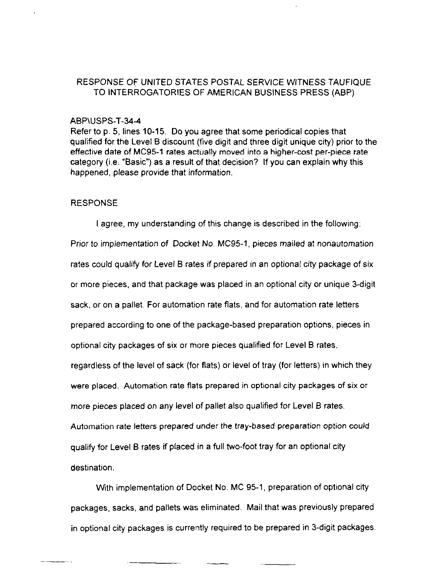#### ABP\USPS-T-344

Refer to p. 5, lines 10-15. Do you agree that some periodical copies that qualified for the Level B discount (five digit and three digit unique city) prior to the effective date of MC95-1 rates actually moved into a higher-cost per-piece rate category (i.e. "Basic") as a result of that decision? If you can explain why this happened, please provide that information.

#### RESPONSE

I agree, my understanding of this change is described in the following: Prior to implementation of Docket No. MC95-1, pieces mailed at nonautomation rates could qualify for Level B rates if prepared in an optional city package of six or more pieces, and that package was placed in an optional city or unique 3-digit sack, or on a pallet. For automation rate flats, and for automation rate letters prepared according to one of the package-based preparation options, pieces in optional city packages of six or more pieces qualified for Level B rates, regardless of the level of sack (for flats) or level of tray (for letters) in which they were placed. Automation rate flats prepared in optional city packages of six or more pieces placed on any level of pallet also qualified for Level B rates. Automation rate letters prepared under the tray-based preparation option could qualify for Level B rates if placed in a full two-foot tray for an optional city destination.

Wrth implementation of Docket No. MC 95-1, preparation of optional city packages, sacks, and pallets was eliminated. Mail that was previously prepared in optional city packages is currently required to be prepared in 3-digit packages.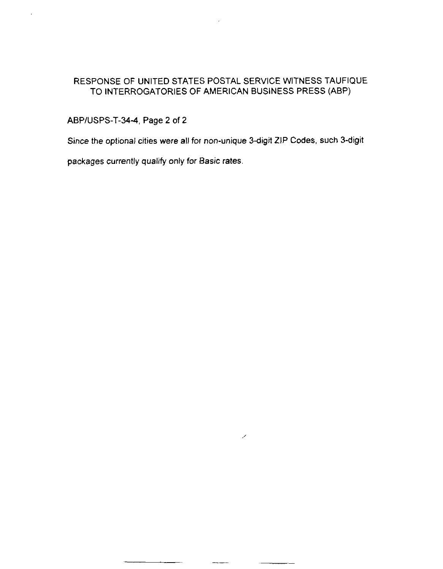# ABPIUSPS-T-344, Page 2 of 2

l,

Since the optional cities were all for non-unique 3-digit ZIP Codes, such 3-digit

╱

packages currently qualify only for Basic rates.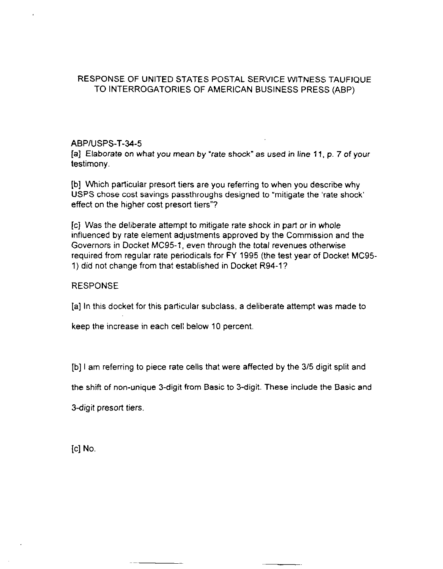#### ABPIUSPS-T-34-5

[a] Elaborate on what you mean by "rate shock" as used in line 11, p. 7 of your testimony.

[b] Which particular presort tiers are you referring to when you describe why USPS chose cost savings passthroughs designed to "mitigate the 'rate shock' effect on the higher cost presort tiers"?

[c] Was the deliberate attempt to mitigate rate shock in part or in whole influenced by rate element adjustrnents approved by the Commission and the Governors in Docket MC95-1, even through the total revenues otherwise required from regular rate periodicals for FY 1995 (the test year of Docket MC95-1) did not change from that established in Docket R94-l?

### RESPONSE

[a] In this docket for this particular subclass, a deliberate attempt was made to

keep the increase in each cell below 10 percent

[b] I am referring to piece rate cells that were affected by the 315 digit split and

the shift of non-unique 3-digit from Basic to 3-digit. These include the Basic and

3-digit presort tiers.

[c] No.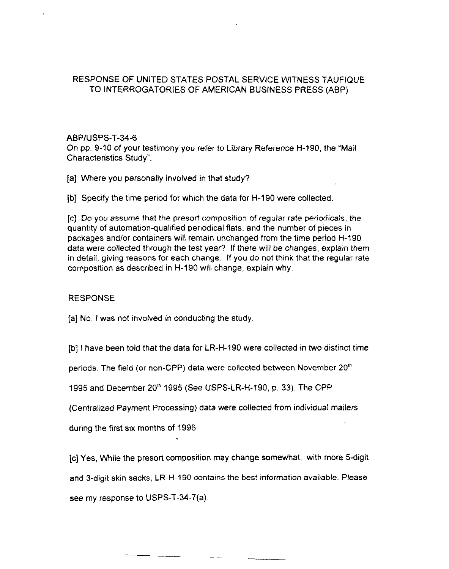## ABPIUSPS-T-34-6

On pp. 9-10 of your testimony you refer to Library Reference H-190, the "Mail Characteristics Study".

- [a] Where you personally involved in that study?
- [b] Specify the time period for which the data for H-190 were collected

[c] Do you assume that the presort composition of regular rate periodicals, the quantity of automation-qualified periodical flats, and the number of pieces in packages and/or containers will remain unchanged from the time period H-190 data were collected through the test year? If there will be changes, explain them in detail, giving reasons for each change. If you do not think that the regular rate composition as described in H-190 will change, explain why.

# **RESPONSE**

 $[a]$  No, I was not involved in conducting the study.

[b] I have been told that the data for LR-H-190 were collected in two distinct time

periods. The field (or non-CPP) data were collected between November 20<sup>th</sup>

1995 and December 20\* 1995 (See USPS-LR-H-190, p. 33). The CPP

(Centralized Payment Processing) data were collected from individual mailers

during the first six months of 1996,

[c] Yes; While the presort composition may change somewhat, with more 5-digit

and 3-digit skin sacks, LR-H-190 contains the best information available. Please

see my response to USPS-T-34-7(a).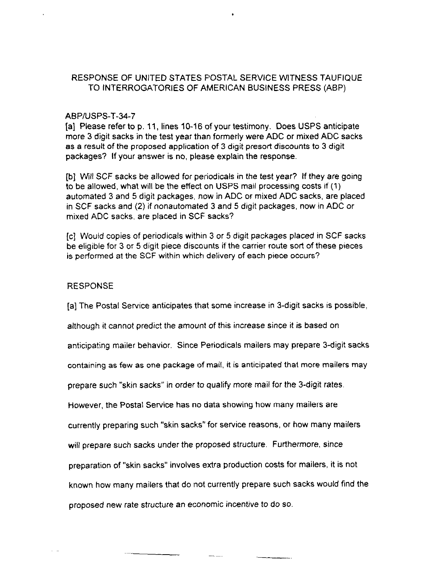#### ABPIUSPS-T-34-7

[a] Please refer to p. 11, lines 10-16 of your testimony. Does USPS anticipate more 3 digit sacks in the test year than formerly were ADC or mixed ADC sacks as a result of the proposed application of 3 digit presott discounts to 3 digit packages? If your answer is no, please explain the response.

[b] will SCF sacks be allowed for periodicals in the test year? If they are going to be allowed, what will be the effect on USPS mail processing costs if (1) automated 3 and 5 digit packages, now in ADC or mixed ADC sacks, are placed in SCF sacks and (2) if nonautomated 3 and 5 digit packages, now in ADC or mixed ADC sacks, are placed in SCF sacks?

[c] Would copies of periodicals within 3 or 5 digit packages placed in SCF sacks be eligible for 3 or 5 digit piece discounts if the carrier route sort of these pieces is performed at the SCF within which delivery of each piece occurs?

#### RESPONSE

[a] The Postal Service anticipates that some increase in 3-digit sacks is possible,

although it cannot predict the amount of this increase since it is based on

anticipating mailer behavior. Since Periodicals mailers may prepare 3-digit sacks

containing as few as one package of mail, it is anticipated that more mailers may

prepare such "skin sacks" in order to qualify more mail for the 3-digit rates

However, the Postal Service has no data showing how many mailers are

currently preparing such "skin sacks" for service reasons, or how many mailers

will prepare such sacks under the proposed structure. Furthermore, since

preparation of "skin sacks" involves extra production costs for mailers, it is not

known how many mailers that do not currently prepare such sacks would find the

proposed new rate structure an economic incentive to do so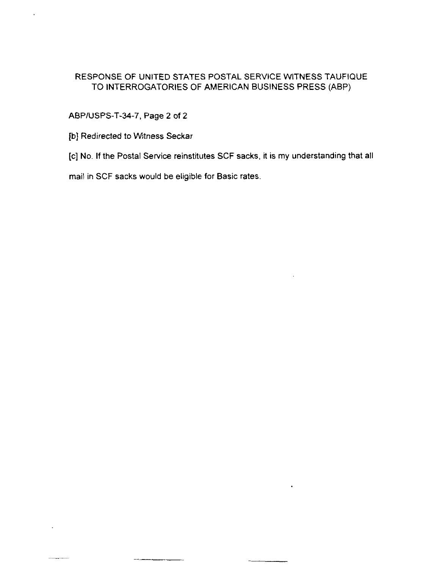## ABPIUSPS-T-34-7, Page 2 of 2

[b] Redirected to Witness Seckar

[c] No. If the Postal Service reinstitutes SCF sacks, it is my understanding that all

mail in SCF sacks would be eligible for Basic rates.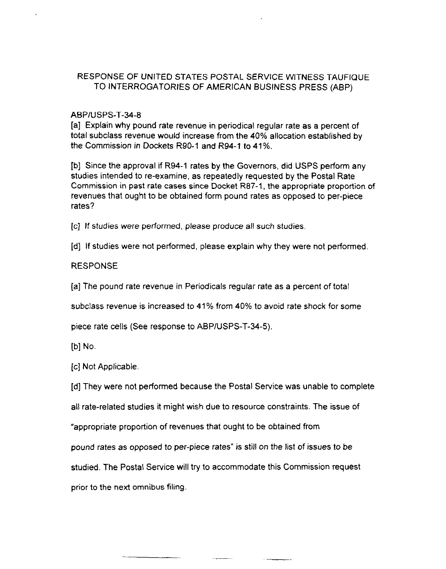#### ABPIUSPS-T-34-8

[a] Explain why pound rate revenue in periodical regular rate as a percent of total subclass revenue would increase from the 40% allocation established by the Commission in Dockets R90-1 and R94-1 to 41%.

[b] Since the approval if R94-1 rates by the Governors, did USPS perform any studies intended to re-examine, as repeatedly requested by the Postal Rate Commission in past rate cases since Docket R87-1, the appropriate proportion of revenues that ought to be obtained form pound rates as opposed to per-piece rates?

[c] If studies were performed, please produce all such studies.

[d] If studies were not performed, please explain why they were not performed

### RESPONSE

[a] The pound rate revenue in Periodicals regular rate as a percent of total

subclass revenue is increased to 41% from 40% to avoid rate shock for some

piece rate cells (See response to ABPIUSPS-T-34-5).

Ibi No.

[c] Not Applicable.

[d] They were not performed because the Postal Service was unable to complete

all rate-related studies it might wish due to resource constraints. The issue of

"appropriate proportion of revenues that ought to be obtained from

pound rates as opposed to per-piece rates" is still on the list of issues to be

studied. The Postal Service will try to accommodate this Commission request

prior to the next omnibus filing.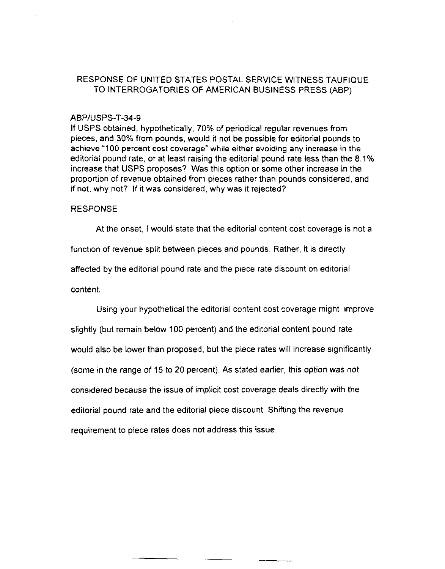#### ABPIUSPS-T-34-9

If USPS obtained, hypothetically, 70% of periodical regular revenues from pieces, and 30% from pounds, would it not be possible for editorial pounds to achieve '100 percent cost coverage" while either avoiding any increase in the editorial pound rate, or at least raising the editorial pound rate less than the 8.1% increase that USPS proposes? Was this option or some other increase in the proportion of revenue obtained from pieces rather than pounds considered, and if not, why not? If it was considered, why was it rejected?

#### RESPONSE

At the onset, I would state that the editorial content cost coverage is not a

function of revenue split between pieces and pounds. Rather, it is directly

affected by the editorial pound rate and the piece rate discount on editorial

content,

Using your hypothetical the editorial content cost coverage might improve slightly (but remain below 100 percent) and the editorial content pound rate would also be lower than proposed, but the piece rates will increase significantly (some in the range of 15 to 20 percent). As stated earlier, this option was not considered because the issue of implicit cost coverage deals directly with the editorial pound rate and the editorial piece discount. Shifting the revenue requirement to piece rates does not address this issue.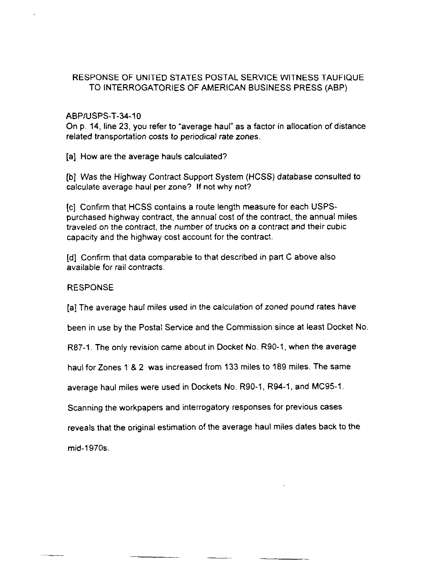### ABPIUSPS-T-34-10

On p. 14, line 23, you refer to "average haul" as a factor in allocation of distance related transportation costs to periodical rate zones.

[a] How are the average hauls calculated?

[b] Was the Highway Contract Support System (HCSS) database consulted to calculate average haul per zone? If not why not?

[c] Confirm that HCSS contains a route length measure for each USPSpurchased highway contract, the annual cost of the contract, the annual miles traveled on the contract, the number of trucks on a contract and their cubic capacity and the highway cost account for the contract.

[d] Confirm that data comparable to that described in part C above also available for rail contracts.

### RESPONSE

[a] The average haul miles used in the calculation of zoned pound rates have

been in use by the Postal Service and the Commission since at least Docket No.

R87-1. The only revision came about in Docket No. R90-1, when the average

haul for Zones 1 8 2 was increased from 133 miles to 189 miles. The same

average haul miles were used in Dockets No. R90-1, R94-1, and MC95-1.

Scanning the workpapers and interrogatory responses for previous cases

reveals that the original estimation of the average haul miles dates back to the

--

mid-1970s.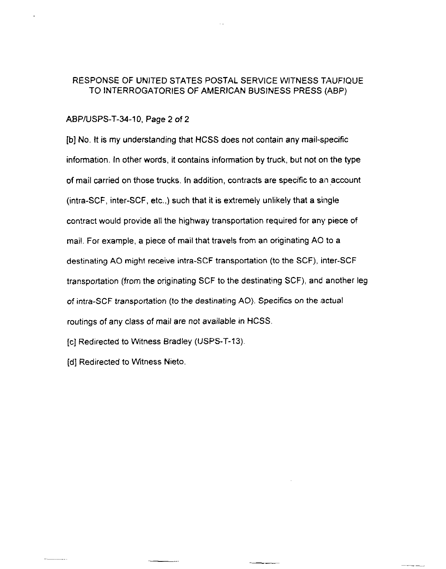#### ABPIUSPS-T-34-10. Page 2 of 2

[b] NO. It is my understanding that HCSS does not contain any mail-specific infomation. In other words, it contains information by truck, but not on the type of mail carried on those trucks. In addition, contracts are specific to an account (intra-SCF, inter-SCF, etc.,) such that it is extremely unlikely that a single contract would provide all the highway transportation required for any piece of mail. For example, a piece of mail that travels from an originating A0 to a destinating A0 might receive intra-SCF transportation (to the SCF), inter-SCF transportation [from the originating SCF to the destinating SCF), and another leg of intra-SCF transportation (to the destinating AO). Specifics on the actual routings of any class of mail are not available in HCSS.

[c] Redirected to Witness Bradley (USPS-T-13).

(d] Redirected to Witness Nieto.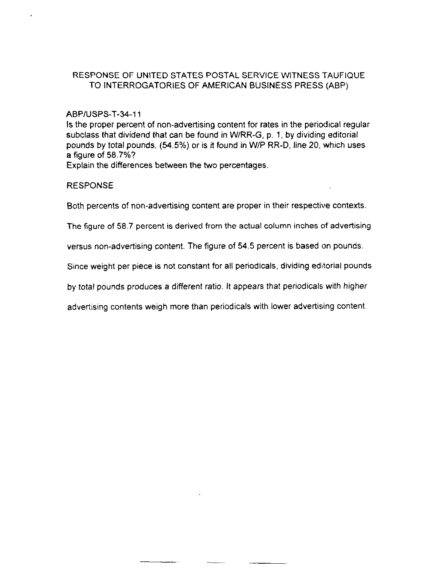### ABPIUSPS-T-34-11

Is the proper percent of non-advertising content for rates in the periodical regular subclass that dividend that can be found in W/RR-G, p. 1, by dividing editorial pounds by total pounds, (84.5%) or is it found in W/P RR-D, line 20. which uses a figure of 58.7%?

Explain the differences between the two percentages.

### RESPONSE

Both percents of non-advertising content are proper in their respective contexts.

The figure of 58.7 percent is derived from the actual column inches of advertising

versus non-advertising content. The figure of 54.5 percent is based on pounds.

Since weight per piece is not constant for all periodicals, dividing editorial pounds

by total pounds produces a different ratio. It appears that periodicals with higher

advertising contents weigh more than periodicals with lower advertising content.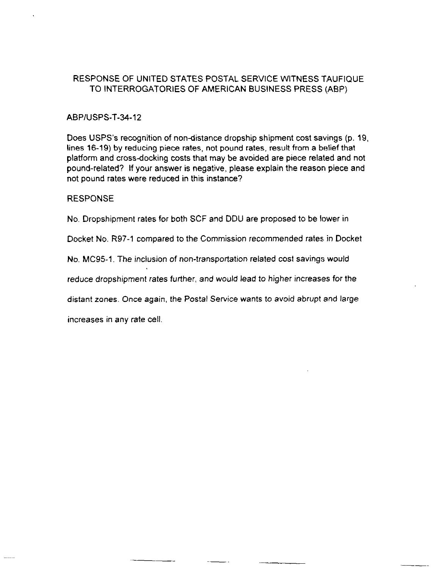### ABPIUSPS-T-34-12

Does USPS's recognition of non-distance dropship shipment cost savings (p. 19, lines 16-19) by reducing piece rates, not pound rates, result from a belief that platform and cross-docking costs that may be avoided are piece related and not pound-related? If your answer is negative, please explain the reason piece and not pound rates were reduced in this instance?

#### RESPONSE

No. Dropshipment rates for both SCF and DDU are proposed to be lower in

Docket No. R97-1 compared to the Commission recommended rates, in Docket

No. MC95-1. The inclusion of non-transportation related cost savings would

reduce dropshipment rates further, and would lead to higher increases for the

distant zones. Once again, the Postal Service wants to avoid abrupt and large

increases in any rate cell.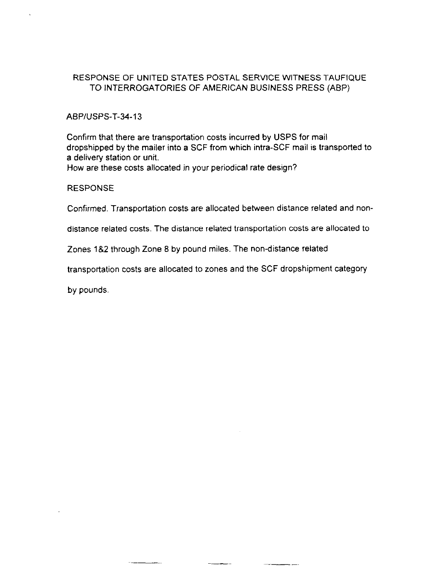### ABPIUSPS-T-34-13

Confirm that there are transportation costs incurred by USPS for mail dropshipped by the mailer into a SCF from which intra-SCF mail is transported to a delivery station or unit.

How are these costs allocated in your periodical rate design?

#### **RESPONSE**

Confirmed. Transportation costs are allocated between distance related and non-

distance related costs. The distance related transportation costs are allocated to

Zones 182 through Zone 8 by pound miles. The non-distance related

transportation costs are allocated to zones and the SCF dropshipment category

by pounds.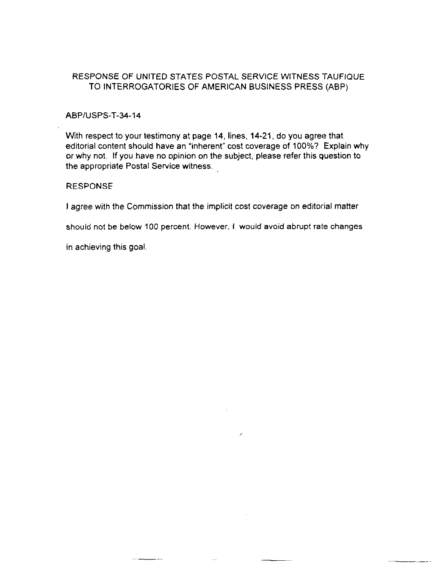#### ABPIUSPS-T-34-14

With respect to your testimony at page 14, lines, 14-21. do you agree that editorial content should have an "inherent" cost coverage of lOO%? Explain why or why not. If you have no opinion on the subject, please refer this question to the appropriate Postal Service witness.

#### RESPONSE

I agree with the Commission that the implicit cost coverage on editorial matter

should not be below 100 percent. However, I would avoid abrupt rate changes

I

in achieving this goal.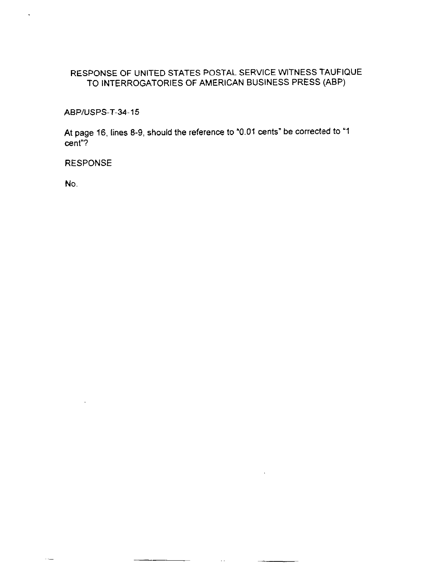ABPIUSPS-T-34-15

At page 16, lines 8-9, should the reference to "0.01 cents" be corrected to "1 cent"?

-.

 $\overline{\phantom{a}}$ 

 $\sim$  .

RESPONSE

 $\bar{z}$ 

 $\sim$   $\sim$ 

No.

 $\ddot{\phantom{0}}$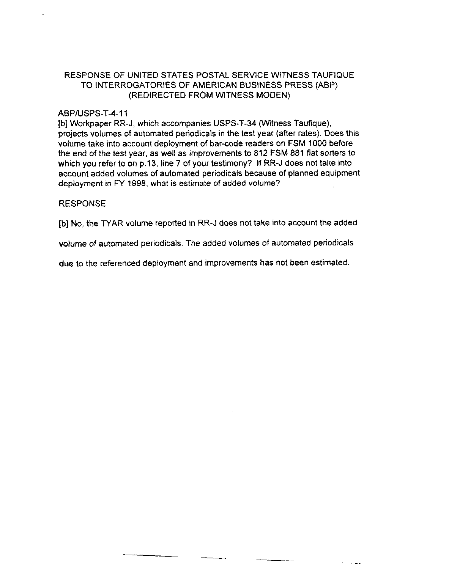## RESPONSE OF UNITED STATES POSTAL SERVICE WITNESS TAUFIQUE TO INTERROGATORIES OF AMERICAN BUSINESS PRESS (ABP) (REDIRECTED FROM WITNESS MODEN)

#### ABPIUSPS-T-4-11

[b] Workpaper RR-J, which accompanies USPS-T-34 (Witness Taufique), projects volumes of automated periodicals in the test year (after rates). Does this volume take into account deployment of bar-code readers on FSM 1000 before the end of the test year, as well as improvements to 812 FSM 881 flat sorters to which you refer to on p.13, line 7 of your testimony? If RR-J does not take into account added volumes of automated periodicals because of planned equipment deployment in FY 1998, what is estimate of added volume?

### RESPONSE

[b] No, the TYAR volume reported in RR-J does not take into account the added

volume of automated periodicals. The added volumes of automated periodicals

due to the referenced deployment and improvements has not been estimated

 $\sim$  .  $\sim$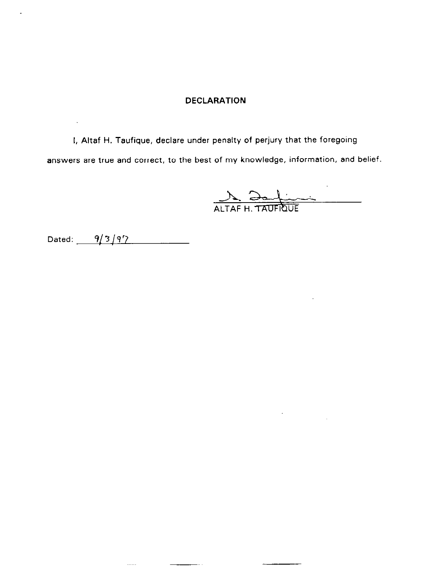### DECLARATION

I, Altaf H. Taufique, declare under penalty of perjury that the foregoing answers are true and correct, to the hest of my knowledge, information, and belief.

L.

 $1.1.1.1$ 

ALTAF H. TAUFRULE

 $\hat{\mathcal{A}}$ 

Dated:  $9/3/97$ 

 $\mathbf{r}$